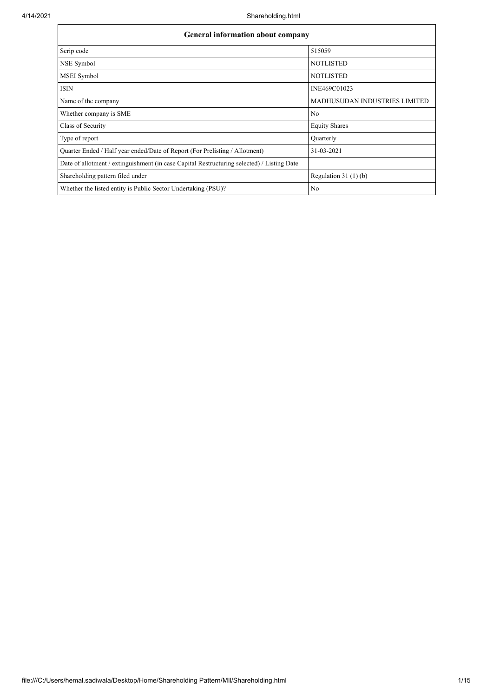| <b>General information about company</b>                                                   |                                      |  |  |  |  |  |
|--------------------------------------------------------------------------------------------|--------------------------------------|--|--|--|--|--|
| Scrip code                                                                                 | 515059                               |  |  |  |  |  |
| NSE Symbol                                                                                 | <b>NOTLISTED</b>                     |  |  |  |  |  |
| MSEI Symbol                                                                                | <b>NOTLISTED</b>                     |  |  |  |  |  |
| <b>ISIN</b>                                                                                | INE469C01023                         |  |  |  |  |  |
| Name of the company                                                                        | <b>MADHUSUDAN INDUSTRIES LIMITED</b> |  |  |  |  |  |
| Whether company is SME                                                                     | No                                   |  |  |  |  |  |
| Class of Security                                                                          | <b>Equity Shares</b>                 |  |  |  |  |  |
| Type of report                                                                             | Quarterly                            |  |  |  |  |  |
| Quarter Ended / Half year ended/Date of Report (For Prelisting / Allotment)                | 31-03-2021                           |  |  |  |  |  |
| Date of allotment / extinguishment (in case Capital Restructuring selected) / Listing Date |                                      |  |  |  |  |  |
| Shareholding pattern filed under                                                           | Regulation $31(1)(b)$                |  |  |  |  |  |
| Whether the listed entity is Public Sector Undertaking (PSU)?                              | N <sub>0</sub>                       |  |  |  |  |  |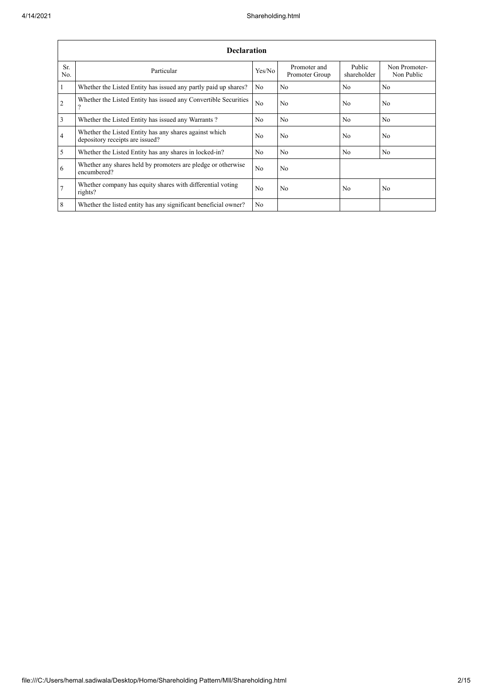|                 | <b>Declaration</b>                                                                        |                |                                |                       |                             |  |  |  |  |  |
|-----------------|-------------------------------------------------------------------------------------------|----------------|--------------------------------|-----------------------|-----------------------------|--|--|--|--|--|
| Sr.<br>No.      | Particular                                                                                | Yes/No         | Promoter and<br>Promoter Group | Public<br>shareholder | Non Promoter-<br>Non Public |  |  |  |  |  |
| $\overline{1}$  | Whether the Listed Entity has issued any partly paid up shares?                           | No             | No                             | N <sub>o</sub>        | N <sub>o</sub>              |  |  |  |  |  |
| $\overline{2}$  | Whether the Listed Entity has issued any Convertible Securities<br>$\overline{?}$         | N <sub>o</sub> | No                             | No                    | N <sub>o</sub>              |  |  |  |  |  |
| $\overline{3}$  | Whether the Listed Entity has issued any Warrants?                                        | N <sub>o</sub> | N <sub>o</sub>                 | N <sub>o</sub>        | N <sub>o</sub>              |  |  |  |  |  |
| $\overline{4}$  | Whether the Listed Entity has any shares against which<br>depository receipts are issued? | No             | No                             | No                    | N <sub>o</sub>              |  |  |  |  |  |
| $\overline{5}$  | Whether the Listed Entity has any shares in locked-in?                                    | N <sub>o</sub> | No                             | No                    | N <sub>o</sub>              |  |  |  |  |  |
| 6               | Whether any shares held by promoters are pledge or otherwise<br>encumbered?               | N <sub>o</sub> | No                             |                       |                             |  |  |  |  |  |
| $\overline{7}$  | Whether company has equity shares with differential voting<br>rights?                     | N <sub>0</sub> | No                             | N <sub>0</sub>        | N <sub>o</sub>              |  |  |  |  |  |
| $8\phantom{.}8$ | Whether the listed entity has any significant beneficial owner?                           | No             |                                |                       |                             |  |  |  |  |  |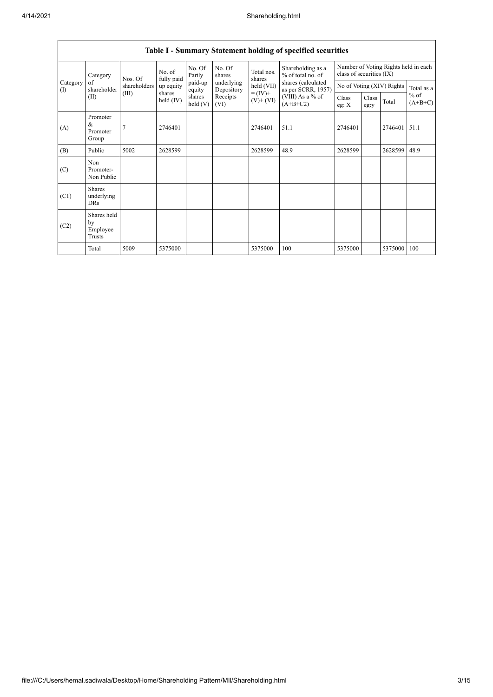|                 |                                                           |                      |                     |                      |                          |                                          | Table I - Summary Statement holding of specified securities      |                |               |                           |                     |
|-----------------|-----------------------------------------------------------|----------------------|---------------------|----------------------|--------------------------|------------------------------------------|------------------------------------------------------------------|----------------|---------------|---------------------------|---------------------|
|                 | Category<br>Nos. Of<br>of<br>shareholder<br>(III)<br>(II) | No. of<br>fully paid | No. Of<br>Partly    | No. Of<br>shares     | Total nos.<br>shares     | Shareholding as a<br>$%$ of total no. of | Number of Voting Rights held in each<br>class of securities (IX) |                |               |                           |                     |
| Category<br>(1) |                                                           | shareholders         | up equity           | paid-up<br>equity    | underlying<br>Depository | held (VII)                               | shares (calculated<br>as per SCRR, 1957)                         |                |               | No of Voting (XIV) Rights | Total as a          |
|                 |                                                           |                      | shares<br>held (IV) | shares<br>held $(V)$ | Receipts<br>(VI)         | $= (IV) +$<br>$(V)$ + $(VI)$             | $(VIII)$ As a % of<br>$(A+B+C2)$                                 | Class<br>eg: X | Class<br>eg:y | Total                     | $%$ of<br>$(A+B+C)$ |
| (A)             | Promoter<br>&<br>Promoter<br>Group                        |                      | 2746401             |                      |                          | 2746401                                  | 51.1                                                             | 2746401        |               | 2746401                   | 51.1                |
| (B)             | Public                                                    | 5002                 | 2628599             |                      |                          | 2628599                                  | 48.9                                                             | 2628599        |               | 2628599                   | 48.9                |
| (C)             | Non<br>Promoter-<br>Non Public                            |                      |                     |                      |                          |                                          |                                                                  |                |               |                           |                     |
| (C1)            | <b>Shares</b><br>underlying<br><b>DRs</b>                 |                      |                     |                      |                          |                                          |                                                                  |                |               |                           |                     |
| (C2)            | Shares held<br>by<br>Employee<br>Trusts                   |                      |                     |                      |                          |                                          |                                                                  |                |               |                           |                     |
|                 | Total                                                     | 5009                 | 5375000             |                      |                          | 5375000                                  | 100                                                              | 5375000        |               | 5375000                   | 100                 |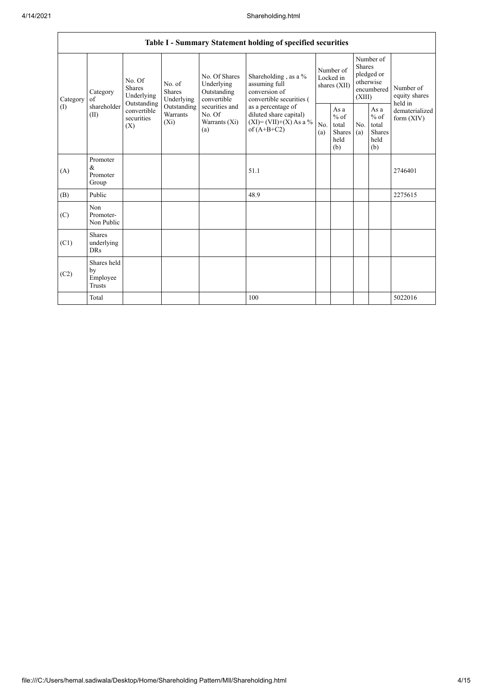|                 | Table I - Summary Statement holding of specified securities                            |                                       |                                    |                                                                                                               |                                                                                                                                                                                  |                                        |                                                  |                                                                               |                                                         |                                       |  |
|-----------------|----------------------------------------------------------------------------------------|---------------------------------------|------------------------------------|---------------------------------------------------------------------------------------------------------------|----------------------------------------------------------------------------------------------------------------------------------------------------------------------------------|----------------------------------------|--------------------------------------------------|-------------------------------------------------------------------------------|---------------------------------------------------------|---------------------------------------|--|
| Category<br>(1) | No. Of<br><b>Shares</b><br>Category<br>of<br>Outstanding<br>shareholder<br>(II)<br>(X) | No. of<br><b>Shares</b><br>Underlying | Underlying                         | No. Of Shares<br>Underlying<br>Outstanding<br>convertible<br>securities and<br>No. Of<br>Warrants (Xi)<br>(a) | Shareholding, as a %<br>assuming full<br>conversion of<br>convertible securities (<br>as a percentage of<br>diluted share capital)<br>$(XI) = (VII)+(X) As a %$<br>of $(A+B+C2)$ | Number of<br>Locked in<br>shares (XII) |                                                  | Number of<br><b>Shares</b><br>pledged or<br>otherwise<br>encumbered<br>(XIII) |                                                         | Number of<br>equity shares<br>held in |  |
|                 |                                                                                        | convertible<br>securities             | Outstanding<br>Warrants<br>$(X_i)$ |                                                                                                               |                                                                                                                                                                                  | N <sub>0</sub><br>(a)                  | As a<br>$%$ of<br>total<br>Shares<br>held<br>(b) | No.<br>(a)                                                                    | As a<br>$%$ of<br>total<br><b>Shares</b><br>held<br>(b) | dematerialized<br>form $(XIV)$        |  |
| (A)             | Promoter<br>$\&$<br>Promoter<br>Group                                                  |                                       |                                    |                                                                                                               | 51.1                                                                                                                                                                             |                                        |                                                  |                                                                               |                                                         | 2746401                               |  |
| (B)             | Public                                                                                 |                                       |                                    |                                                                                                               | 48.9                                                                                                                                                                             |                                        |                                                  |                                                                               |                                                         | 2275615                               |  |
| (C)             | Non<br>Promoter-<br>Non Public                                                         |                                       |                                    |                                                                                                               |                                                                                                                                                                                  |                                        |                                                  |                                                                               |                                                         |                                       |  |
| (C1)            | <b>Shares</b><br>underlying<br><b>DRs</b>                                              |                                       |                                    |                                                                                                               |                                                                                                                                                                                  |                                        |                                                  |                                                                               |                                                         |                                       |  |
| (C2)            | Shares held<br>by<br>Employee<br><b>Trusts</b>                                         |                                       |                                    |                                                                                                               |                                                                                                                                                                                  |                                        |                                                  |                                                                               |                                                         |                                       |  |
|                 | Total                                                                                  |                                       |                                    |                                                                                                               | 100                                                                                                                                                                              |                                        |                                                  |                                                                               |                                                         | 5022016                               |  |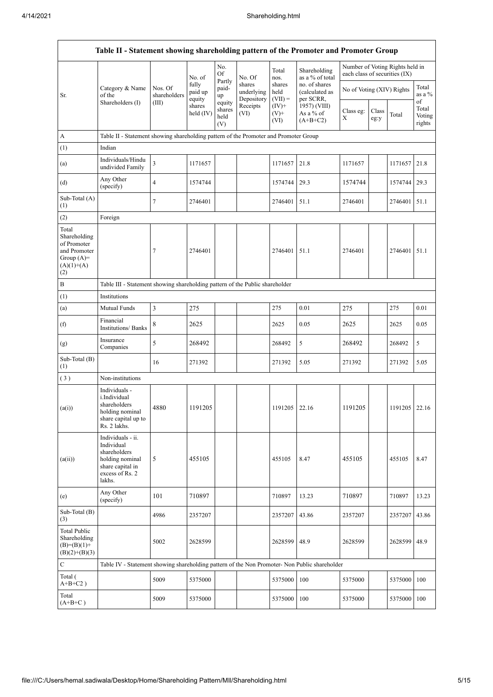$\mathbf{r}$ 

| Table II - Statement showing shareholding pattern of the Promoter and Promoter Group        |                                                                                                                     |                                                                              |                            |                                 |                                    |                             |                                              |                               |               |                                 |                           |
|---------------------------------------------------------------------------------------------|---------------------------------------------------------------------------------------------------------------------|------------------------------------------------------------------------------|----------------------------|---------------------------------|------------------------------------|-----------------------------|----------------------------------------------|-------------------------------|---------------|---------------------------------|---------------------------|
|                                                                                             |                                                                                                                     |                                                                              | No. of                     | No.<br>Of                       | No. Of                             | Total<br>nos.               | Shareholding<br>as a % of total              | each class of securities (IX) |               | Number of Voting Rights held in |                           |
| Sr.                                                                                         | Category & Name<br>of the<br>Shareholders (I)                                                                       | Nos. Of<br>shareholders                                                      | fully<br>paid up<br>equity | Partly<br>paid-<br>up           | shares<br>underlying<br>Depository | shares<br>held<br>$(VII) =$ | no. of shares<br>(calculated as<br>per SCRR, | No of Voting (XIV) Rights     |               |                                 | Total<br>as a %<br>of     |
|                                                                                             |                                                                                                                     | (III)                                                                        | shares<br>held $(IV)$      | equity<br>shares<br>held<br>(V) | Receipts<br>(VI)                   | $(IV)+$<br>$(V)+$<br>(VI)   | 1957) (VIII)<br>As a % of<br>$(A+B+C2)$      | Class eg:<br>X                | Class<br>eg:y | Total                           | Total<br>Voting<br>rights |
| A                                                                                           | Table II - Statement showing shareholding pattern of the Promoter and Promoter Group                                |                                                                              |                            |                                 |                                    |                             |                                              |                               |               |                                 |                           |
| (1)                                                                                         | Indian                                                                                                              |                                                                              |                            |                                 |                                    |                             |                                              |                               |               |                                 |                           |
| (a)                                                                                         | Individuals/Hindu<br>undivided Family                                                                               | 3                                                                            | 1171657                    |                                 |                                    | 1171657                     | 21.8                                         | 1171657                       |               | 1171657                         | 21.8                      |
| (d)                                                                                         | Any Other<br>(specify)                                                                                              | 4                                                                            | 1574744                    |                                 |                                    | 1574744                     | 29.3                                         | 1574744                       |               | 1574744                         | 29.3                      |
| Sub-Total (A)<br>(1)                                                                        |                                                                                                                     | 7                                                                            | 2746401                    |                                 |                                    | 2746401                     | 51.1                                         | 2746401                       |               | 2746401                         | 51.1                      |
| (2)                                                                                         | Foreign                                                                                                             |                                                                              |                            |                                 |                                    |                             |                                              |                               |               |                                 |                           |
| Total<br>Shareholding<br>of Promoter<br>and Promoter<br>Group $(A)=$<br>$(A)(1)+(A)$<br>(2) |                                                                                                                     | 7                                                                            | 2746401                    |                                 |                                    | 2746401                     | 51.1                                         | 2746401                       |               | 2746401                         | 51.1                      |
| $\, {\bf B}$                                                                                |                                                                                                                     | Table III - Statement showing shareholding pattern of the Public shareholder |                            |                                 |                                    |                             |                                              |                               |               |                                 |                           |
| (1)                                                                                         | Institutions                                                                                                        |                                                                              |                            |                                 |                                    |                             |                                              |                               |               |                                 |                           |
| (a)                                                                                         | Mutual Funds                                                                                                        | 3                                                                            | 275                        |                                 |                                    | 275                         | 0.01                                         | 275                           |               | 275                             | 0.01                      |
| (f)                                                                                         | Financial<br><b>Institutions/ Banks</b>                                                                             | 8                                                                            | 2625                       |                                 |                                    | 2625                        | 0.05                                         | 2625                          |               | 2625                            | 0.05                      |
| (g)                                                                                         | Insurance<br>Companies                                                                                              | 5                                                                            | 268492                     |                                 |                                    | 268492                      | 5                                            | 268492                        |               | 268492                          | 5                         |
| Sub-Total (B)<br>(1)                                                                        |                                                                                                                     | 16                                                                           | 271392                     |                                 |                                    | 271392                      | 5.05                                         | 271392                        |               | 271392                          | 5.05                      |
| (3)                                                                                         | Non-institutions                                                                                                    |                                                                              |                            |                                 |                                    |                             |                                              |                               |               |                                 |                           |
| (a(i))                                                                                      | Individuals -<br>i.Individual<br>shareholders<br>holding nominal<br>share capital up to<br>Rs. 2 lakhs.             | 4880                                                                         | 1191205                    |                                 |                                    | 1191205                     | 22.16                                        | 1191205                       |               | 1191205                         | 22.16                     |
| (a(ii))                                                                                     | Individuals - ii.<br>Individual<br>shareholders<br>holding nominal<br>share capital in<br>excess of Rs. 2<br>lakhs. | 5                                                                            | 455105                     |                                 |                                    | 455105                      | 8.47                                         | 455105                        |               | 455105                          | 8.47                      |
| (e)                                                                                         | Any Other<br>(specify)                                                                                              | 101                                                                          | 710897                     |                                 |                                    | 710897                      | 13.23                                        | 710897                        |               | 710897                          | 13.23                     |
| Sub-Total (B)<br>(3)                                                                        |                                                                                                                     | 4986                                                                         | 2357207                    |                                 |                                    | 2357207                     | 43.86                                        | 2357207                       |               | 2357207                         | 43.86                     |
| <b>Total Public</b><br>Shareholding<br>$(B)=(B)(1)+$<br>$(B)(2)+(B)(3)$                     |                                                                                                                     | 5002                                                                         | 2628599                    |                                 |                                    | 2628599                     | 48.9                                         | 2628599                       |               | 2628599 48.9                    |                           |
| $\mathbf C$                                                                                 | Table IV - Statement showing shareholding pattern of the Non Promoter- Non Public shareholder                       |                                                                              |                            |                                 |                                    |                             |                                              |                               |               |                                 |                           |
| Total (<br>$A+B+C2$ )                                                                       |                                                                                                                     | 5009                                                                         | 5375000                    |                                 |                                    | 5375000                     | 100                                          | 5375000                       |               | 5375000                         | 100                       |
| Total<br>$(A+B+C)$                                                                          |                                                                                                                     | 5009                                                                         | 5375000                    |                                 |                                    | 5375000                     | 100                                          | 5375000                       |               | 5375000 100                     |                           |

٦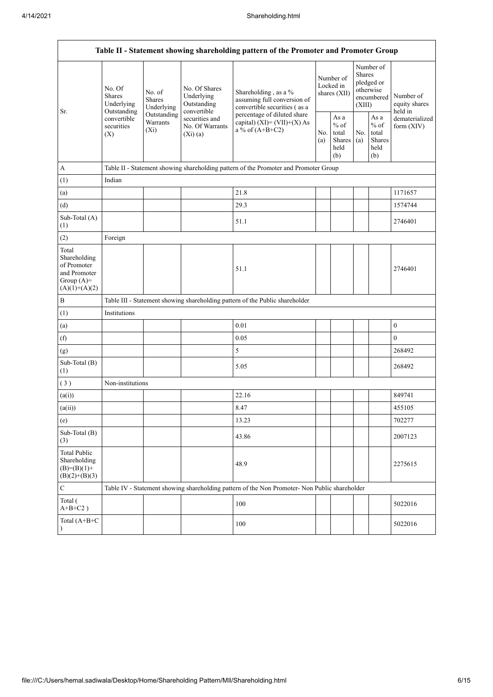| Table II - Statement showing shareholding pattern of the Promoter and Promoter Group    |                                                                                                                                     |                                                                                      |                                                           |                                                                                                                    |                                        |                                                  |                                                                               |                                                   |                                       |  |  |
|-----------------------------------------------------------------------------------------|-------------------------------------------------------------------------------------------------------------------------------------|--------------------------------------------------------------------------------------|-----------------------------------------------------------|--------------------------------------------------------------------------------------------------------------------|----------------------------------------|--------------------------------------------------|-------------------------------------------------------------------------------|---------------------------------------------------|---------------------------------------|--|--|
| Sr.                                                                                     | No. Of<br>No. of<br><b>Shares</b><br>Shares<br>Underlying<br>Outstanding<br>convertible<br>Warrants<br>securities<br>$(X_i)$<br>(X) | Underlying                                                                           | No. Of Shares<br>Underlying<br>Outstanding<br>convertible | Shareholding, as a %<br>assuming full conversion of<br>convertible securities (as a<br>percentage of diluted share | Number of<br>Locked in<br>shares (XII) |                                                  | Number of<br><b>Shares</b><br>pledged or<br>otherwise<br>encumbered<br>(XIII) |                                                   | Number of<br>equity shares<br>held in |  |  |
|                                                                                         |                                                                                                                                     | Outstanding                                                                          | securities and<br>No. Of Warrants<br>(Xi)(a)              | capital) $(XI) = (VII)+(X) As$<br>a % of $(A+B+C2)$                                                                |                                        | As a<br>$%$ of<br>total<br>Shares<br>held<br>(b) | No.<br>(a)                                                                    | As a<br>$\%$ of<br>total<br>Shares<br>held<br>(b) | dematerialized<br>form $(XIV)$        |  |  |
| $\mathbf A$                                                                             |                                                                                                                                     | Table II - Statement showing shareholding pattern of the Promoter and Promoter Group |                                                           |                                                                                                                    |                                        |                                                  |                                                                               |                                                   |                                       |  |  |
| (1)                                                                                     | Indian                                                                                                                              |                                                                                      |                                                           |                                                                                                                    |                                        |                                                  |                                                                               |                                                   |                                       |  |  |
| (a)                                                                                     |                                                                                                                                     |                                                                                      |                                                           | 21.8                                                                                                               |                                        |                                                  |                                                                               |                                                   | 1171657                               |  |  |
| (d)                                                                                     |                                                                                                                                     |                                                                                      |                                                           | 29.3                                                                                                               |                                        |                                                  |                                                                               |                                                   | 1574744                               |  |  |
| Sub-Total (A)<br>(1)                                                                    |                                                                                                                                     |                                                                                      |                                                           | 51.1                                                                                                               |                                        |                                                  |                                                                               |                                                   | 2746401                               |  |  |
| (2)                                                                                     | Foreign                                                                                                                             |                                                                                      |                                                           |                                                                                                                    |                                        |                                                  |                                                                               |                                                   |                                       |  |  |
| Total<br>Shareholding<br>of Promoter<br>and Promoter<br>Group $(A)=$<br>$(A)(1)+(A)(2)$ |                                                                                                                                     |                                                                                      |                                                           | 51.1                                                                                                               |                                        |                                                  |                                                                               |                                                   | 2746401                               |  |  |
| $\, {\bf B}$                                                                            |                                                                                                                                     |                                                                                      |                                                           | Table III - Statement showing shareholding pattern of the Public shareholder                                       |                                        |                                                  |                                                                               |                                                   |                                       |  |  |
| (1)                                                                                     | Institutions                                                                                                                        |                                                                                      |                                                           |                                                                                                                    |                                        |                                                  |                                                                               |                                                   |                                       |  |  |
| (a)                                                                                     |                                                                                                                                     |                                                                                      |                                                           | 0.01                                                                                                               |                                        |                                                  |                                                                               |                                                   | $\boldsymbol{0}$                      |  |  |
| (f)                                                                                     |                                                                                                                                     |                                                                                      |                                                           | 0.05                                                                                                               |                                        |                                                  |                                                                               |                                                   | $\mathbf{0}$                          |  |  |
| (g)                                                                                     |                                                                                                                                     |                                                                                      |                                                           | 5                                                                                                                  |                                        |                                                  |                                                                               |                                                   | 268492                                |  |  |
| Sub-Total (B)<br>(1)                                                                    |                                                                                                                                     |                                                                                      |                                                           | 5.05                                                                                                               |                                        |                                                  |                                                                               |                                                   | 268492                                |  |  |
| (3)                                                                                     | Non-institutions                                                                                                                    |                                                                                      |                                                           |                                                                                                                    |                                        |                                                  |                                                                               |                                                   |                                       |  |  |
| (a(i))                                                                                  |                                                                                                                                     |                                                                                      |                                                           | 22.16                                                                                                              |                                        |                                                  |                                                                               |                                                   | 849741                                |  |  |
| (a(ii))                                                                                 |                                                                                                                                     |                                                                                      |                                                           | 8.47                                                                                                               |                                        |                                                  |                                                                               |                                                   | 455105                                |  |  |
| (e)                                                                                     |                                                                                                                                     |                                                                                      |                                                           | 13.23                                                                                                              |                                        |                                                  |                                                                               |                                                   | 702277                                |  |  |
| Sub-Total (B)<br>(3)                                                                    |                                                                                                                                     |                                                                                      |                                                           | 43.86                                                                                                              |                                        |                                                  |                                                                               |                                                   | 2007123                               |  |  |
| <b>Total Public</b><br>Shareholding<br>$(B)=(B)(1)+$<br>$(B)(2)+(B)(3)$                 |                                                                                                                                     |                                                                                      |                                                           | 48.9                                                                                                               |                                        |                                                  |                                                                               |                                                   | 2275615                               |  |  |
| ${\bf C}$                                                                               |                                                                                                                                     |                                                                                      |                                                           | Table IV - Statement showing shareholding pattern of the Non Promoter- Non Public shareholder                      |                                        |                                                  |                                                                               |                                                   |                                       |  |  |
| Total (<br>$A+B+C2$ )                                                                   |                                                                                                                                     |                                                                                      |                                                           | 100                                                                                                                |                                        |                                                  |                                                                               |                                                   | 5022016                               |  |  |
| Total (A+B+C<br>$\lambda$                                                               |                                                                                                                                     |                                                                                      |                                                           | 100                                                                                                                |                                        |                                                  |                                                                               |                                                   | 5022016                               |  |  |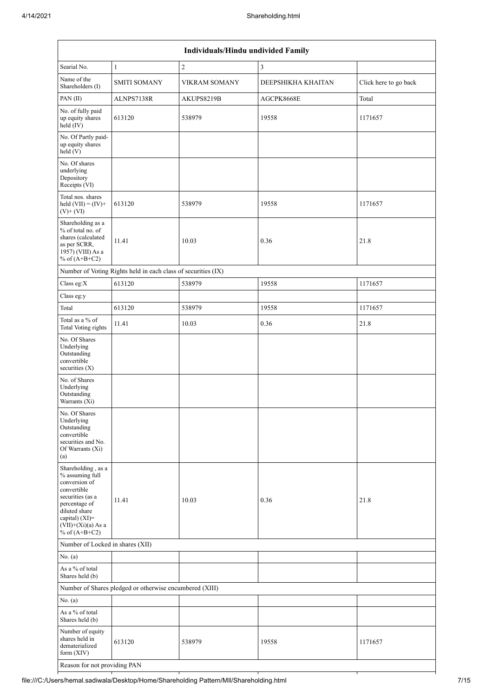|                                                                                                                                                                                          | Individuals/Hindu undivided Family                            |                |                    |                       |  |  |  |  |  |  |  |
|------------------------------------------------------------------------------------------------------------------------------------------------------------------------------------------|---------------------------------------------------------------|----------------|--------------------|-----------------------|--|--|--|--|--|--|--|
| Searial No.                                                                                                                                                                              | $\mathbf{1}$                                                  | $\overline{c}$ | 3                  |                       |  |  |  |  |  |  |  |
| Name of the<br>Shareholders (I)                                                                                                                                                          | <b>SMITI SOMANY</b>                                           | VIKRAM SOMANY  | DEEPSHIKHA KHAITAN | Click here to go back |  |  |  |  |  |  |  |
| PAN(II)                                                                                                                                                                                  | ALNPS7138R                                                    | AKUPS8219B     | AGCPK8668E         | Total                 |  |  |  |  |  |  |  |
| No. of fully paid<br>up equity shares<br>held (IV)                                                                                                                                       | 613120                                                        | 538979         | 19558              | 1171657               |  |  |  |  |  |  |  |
| No. Of Partly paid-<br>up equity shares<br>held (V)                                                                                                                                      |                                                               |                |                    |                       |  |  |  |  |  |  |  |
| No. Of shares<br>underlying<br>Depository<br>Receipts (VI)                                                                                                                               |                                                               |                |                    |                       |  |  |  |  |  |  |  |
| Total nos. shares<br>held $(VII) = (IV) +$<br>$(V)$ + $(VI)$                                                                                                                             | 613120                                                        | 538979         | 19558              | 1171657               |  |  |  |  |  |  |  |
| Shareholding as a<br>% of total no. of<br>shares (calculated<br>as per SCRR,<br>1957) (VIII) As a<br>% of $(A+B+C2)$                                                                     | 11.41                                                         | 10.03          | 0.36               | 21.8                  |  |  |  |  |  |  |  |
|                                                                                                                                                                                          | Number of Voting Rights held in each class of securities (IX) |                |                    |                       |  |  |  |  |  |  |  |
| Class eg:X                                                                                                                                                                               | 613120                                                        | 538979         | 19558              | 1171657               |  |  |  |  |  |  |  |
| Class eg:y                                                                                                                                                                               |                                                               |                |                    |                       |  |  |  |  |  |  |  |
| Total                                                                                                                                                                                    | 613120                                                        | 538979         | 19558              | 1171657               |  |  |  |  |  |  |  |
| Total as a % of<br><b>Total Voting rights</b>                                                                                                                                            | 11.41                                                         | 10.03          | 0.36               | 21.8                  |  |  |  |  |  |  |  |
| No. Of Shares<br>Underlying<br>Outstanding<br>convertible<br>securities (X)                                                                                                              |                                                               |                |                    |                       |  |  |  |  |  |  |  |
| No. of Shares<br>Underlying<br>Outstanding<br>Warrants (Xi)                                                                                                                              |                                                               |                |                    |                       |  |  |  |  |  |  |  |
| No. Of Shares<br>Underlying<br>Outstanding<br>convertible<br>securities and No.<br>Of Warrants (Xi)<br>(a)                                                                               |                                                               |                |                    |                       |  |  |  |  |  |  |  |
| Shareholding, as a<br>% assuming full<br>conversion of<br>convertible<br>securities (as a<br>percentage of<br>diluted share<br>capital) (XI)=<br>$(VII)+(Xi)(a)$ As a<br>% of $(A+B+C2)$ | 11.41                                                         | 10.03          | 0.36               | 21.8                  |  |  |  |  |  |  |  |
| Number of Locked in shares (XII)                                                                                                                                                         |                                                               |                |                    |                       |  |  |  |  |  |  |  |
| No. (a)                                                                                                                                                                                  |                                                               |                |                    |                       |  |  |  |  |  |  |  |
| As a % of total<br>Shares held (b)                                                                                                                                                       |                                                               |                |                    |                       |  |  |  |  |  |  |  |
|                                                                                                                                                                                          | Number of Shares pledged or otherwise encumbered (XIII)       |                |                    |                       |  |  |  |  |  |  |  |
| No. (a)                                                                                                                                                                                  |                                                               |                |                    |                       |  |  |  |  |  |  |  |
| As a % of total<br>Shares held (b)                                                                                                                                                       |                                                               |                |                    |                       |  |  |  |  |  |  |  |
| Number of equity<br>shares held in<br>dematerialized<br>form $(XIV)$                                                                                                                     | 613120                                                        | 538979         | 19558              | 1171657               |  |  |  |  |  |  |  |
| Reason for not providing PAN                                                                                                                                                             |                                                               |                |                    |                       |  |  |  |  |  |  |  |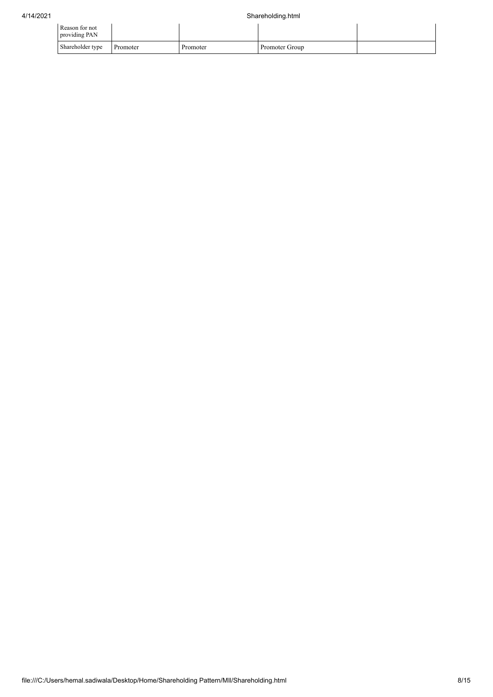| Reason for not<br>providing PAN |          |          |                |  |
|---------------------------------|----------|----------|----------------|--|
| Shareholder type                | Promoter | Promoter | Promoter Group |  |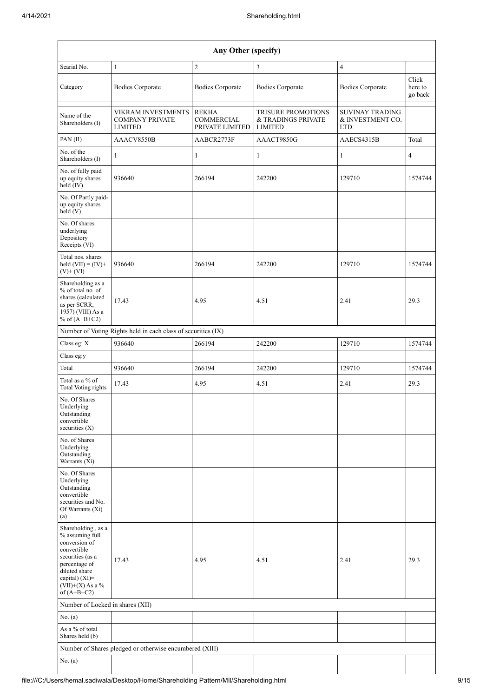|                                                                                                                                                                                      | Any Other (specify)                                            |                                               |                                                                   |                                                    |                             |  |  |  |  |  |  |  |
|--------------------------------------------------------------------------------------------------------------------------------------------------------------------------------------|----------------------------------------------------------------|-----------------------------------------------|-------------------------------------------------------------------|----------------------------------------------------|-----------------------------|--|--|--|--|--|--|--|
| Searial No.                                                                                                                                                                          | $\mathbf{1}$                                                   | $\boldsymbol{2}$                              | 3                                                                 | $\overline{\mathbf{4}}$                            |                             |  |  |  |  |  |  |  |
| Category                                                                                                                                                                             | <b>Bodies Corporate</b>                                        | <b>Bodies Corporate</b>                       | <b>Bodies Corporate</b>                                           | <b>Bodies Corporate</b>                            | Click<br>here to<br>go back |  |  |  |  |  |  |  |
| Name of the<br>Shareholders (I)                                                                                                                                                      | VIKRAM INVESTMENTS<br><b>COMPANY PRIVATE</b><br><b>LIMITED</b> | <b>REKHA</b><br>COMMERCIAL<br>PRIVATE LIMITED | <b>TRISURE PROMOTIONS</b><br>& TRADINGS PRIVATE<br><b>LIMITED</b> | <b>SUVINAY TRADING</b><br>& INVESTMENT CO.<br>LTD. |                             |  |  |  |  |  |  |  |
| PAN(II)                                                                                                                                                                              | AAACV8550B                                                     | AABCR2773F                                    | AAACT9850G                                                        | AAECS4315B                                         | Total                       |  |  |  |  |  |  |  |
| No. of the<br>Shareholders (I)                                                                                                                                                       | $\mathbf{1}$                                                   | 1                                             | 1                                                                 | 1                                                  | $\overline{4}$              |  |  |  |  |  |  |  |
| No. of fully paid<br>up equity shares<br>held (IV)                                                                                                                                   | 936640                                                         | 266194                                        | 242200                                                            | 129710                                             | 1574744                     |  |  |  |  |  |  |  |
| No. Of Partly paid-<br>up equity shares<br>held(V)                                                                                                                                   |                                                                |                                               |                                                                   |                                                    |                             |  |  |  |  |  |  |  |
| No. Of shares<br>underlying<br>Depository<br>Receipts (VI)                                                                                                                           |                                                                |                                               |                                                                   |                                                    |                             |  |  |  |  |  |  |  |
| Total nos. shares<br>held $(VII) = (IV) +$<br>$(V)$ + $(VI)$                                                                                                                         | 936640                                                         | 266194                                        | 242200                                                            | 129710                                             | 1574744                     |  |  |  |  |  |  |  |
| Shareholding as a<br>% of total no. of<br>shares (calculated<br>as per SCRR,<br>1957) (VIII) As a<br>% of $(A+B+C2)$                                                                 | 17.43                                                          | 4.95                                          | 4.51                                                              | 2.41                                               | 29.3                        |  |  |  |  |  |  |  |
|                                                                                                                                                                                      | Number of Voting Rights held in each class of securities (IX)  |                                               |                                                                   |                                                    |                             |  |  |  |  |  |  |  |
| Class eg: X                                                                                                                                                                          | 936640                                                         | 266194                                        | 242200                                                            | 129710                                             | 1574744                     |  |  |  |  |  |  |  |
| Class eg:y                                                                                                                                                                           |                                                                |                                               |                                                                   |                                                    |                             |  |  |  |  |  |  |  |
| Total                                                                                                                                                                                | 936640                                                         | 266194                                        | 242200                                                            | 129710                                             | 1574744                     |  |  |  |  |  |  |  |
| Total as a % of<br><b>Total Voting rights</b>                                                                                                                                        | 17.43                                                          | 4.95                                          | 4.51                                                              | 2.41                                               | 29.3                        |  |  |  |  |  |  |  |
| No. Of Shares<br>Underlying<br>Outstanding<br>convertible<br>securities $(X)$                                                                                                        |                                                                |                                               |                                                                   |                                                    |                             |  |  |  |  |  |  |  |
| No. of Shares<br>Underlying<br>Outstanding<br>Warrants (Xi)                                                                                                                          |                                                                |                                               |                                                                   |                                                    |                             |  |  |  |  |  |  |  |
| No. Of Shares<br>Underlying<br>Outstanding<br>convertible<br>securities and No.<br>Of Warrants (Xi)<br>(a)                                                                           |                                                                |                                               |                                                                   |                                                    |                             |  |  |  |  |  |  |  |
| Shareholding, as a<br>% assuming full<br>conversion of<br>convertible<br>securities (as a<br>percentage of<br>diluted share<br>capital) (XI)=<br>$(VII)+(X)$ As a %<br>of $(A+B+C2)$ | 17.43                                                          | 4.95                                          | 4.51                                                              | 2.41                                               | 29.3                        |  |  |  |  |  |  |  |
| Number of Locked in shares (XII)                                                                                                                                                     |                                                                |                                               |                                                                   |                                                    |                             |  |  |  |  |  |  |  |
| No. (a)                                                                                                                                                                              |                                                                |                                               |                                                                   |                                                    |                             |  |  |  |  |  |  |  |
| As a % of total<br>Shares held (b)                                                                                                                                                   |                                                                |                                               |                                                                   |                                                    |                             |  |  |  |  |  |  |  |
|                                                                                                                                                                                      | Number of Shares pledged or otherwise encumbered (XIII)        |                                               |                                                                   |                                                    |                             |  |  |  |  |  |  |  |
| No. (a)                                                                                                                                                                              |                                                                |                                               |                                                                   |                                                    |                             |  |  |  |  |  |  |  |
|                                                                                                                                                                                      |                                                                |                                               |                                                                   |                                                    |                             |  |  |  |  |  |  |  |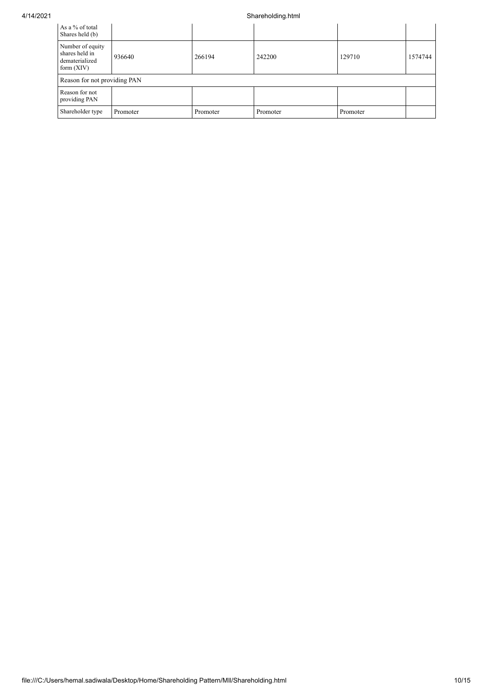## 4/14/2021 Shareholding.html

| As a % of total<br>Shares held (b)                                   |                              |          |          |          |         |  |  |  |  |  |
|----------------------------------------------------------------------|------------------------------|----------|----------|----------|---------|--|--|--|--|--|
| Number of equity<br>shares held in<br>dematerialized<br>form $(XIV)$ | 936640                       | 266194   | 242200   | 129710   | 1574744 |  |  |  |  |  |
|                                                                      | Reason for not providing PAN |          |          |          |         |  |  |  |  |  |
| Reason for not<br>providing PAN                                      |                              |          |          |          |         |  |  |  |  |  |
| Shareholder type                                                     | Promoter                     | Promoter | Promoter | Promoter |         |  |  |  |  |  |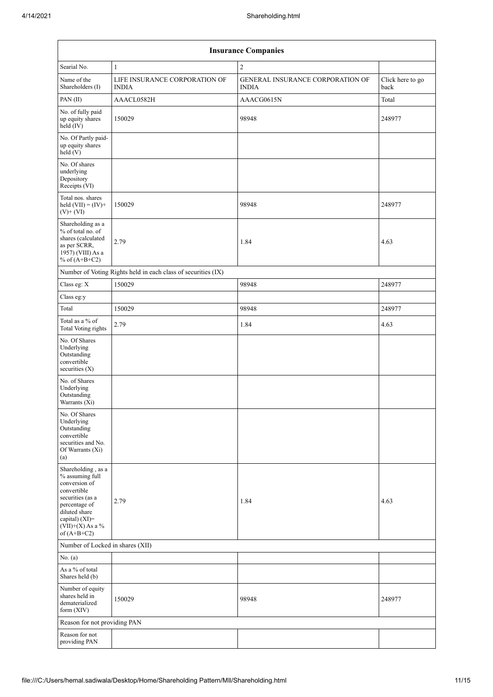|                                                                                                                                                                                      | <b>Insurance Companies</b>                                    |                                                         |                          |  |  |  |  |  |  |  |  |
|--------------------------------------------------------------------------------------------------------------------------------------------------------------------------------------|---------------------------------------------------------------|---------------------------------------------------------|--------------------------|--|--|--|--|--|--|--|--|
| Searial No.                                                                                                                                                                          | $\mathbf{1}$                                                  | $\overline{c}$                                          |                          |  |  |  |  |  |  |  |  |
| Name of the<br>Shareholders (I)                                                                                                                                                      | LIFE INSURANCE CORPORATION OF<br><b>INDIA</b>                 | <b>GENERAL INSURANCE CORPORATION OF</b><br><b>INDIA</b> | Click here to go<br>back |  |  |  |  |  |  |  |  |
| PAN(II)                                                                                                                                                                              | AAACL0582H                                                    | AAACG0615N                                              | Total                    |  |  |  |  |  |  |  |  |
| No. of fully paid<br>up equity shares<br>held (IV)                                                                                                                                   | 150029                                                        | 98948                                                   | 248977                   |  |  |  |  |  |  |  |  |
| No. Of Partly paid-<br>up equity shares<br>held (V)                                                                                                                                  |                                                               |                                                         |                          |  |  |  |  |  |  |  |  |
| No. Of shares<br>underlying<br>Depository<br>Receipts (VI)                                                                                                                           |                                                               |                                                         |                          |  |  |  |  |  |  |  |  |
| Total nos. shares<br>held $(VII) = (IV) +$<br>$(V)$ + $(VI)$                                                                                                                         | 150029                                                        | 98948                                                   | 248977                   |  |  |  |  |  |  |  |  |
| Shareholding as a<br>% of total no. of<br>shares (calculated<br>as per SCRR,<br>1957) (VIII) As a<br>% of $(A+B+C2)$                                                                 | 2.79                                                          | 1.84                                                    | 4.63                     |  |  |  |  |  |  |  |  |
|                                                                                                                                                                                      | Number of Voting Rights held in each class of securities (IX) |                                                         |                          |  |  |  |  |  |  |  |  |
| Class eg: X                                                                                                                                                                          | 150029                                                        | 98948                                                   | 248977                   |  |  |  |  |  |  |  |  |
| Class eg:y                                                                                                                                                                           |                                                               |                                                         |                          |  |  |  |  |  |  |  |  |
| Total                                                                                                                                                                                | 150029                                                        | 98948                                                   | 248977                   |  |  |  |  |  |  |  |  |
| Total as a % of<br><b>Total Voting rights</b>                                                                                                                                        | 2.79                                                          | 1.84                                                    | 4.63                     |  |  |  |  |  |  |  |  |
| No. Of Shares<br>Underlying<br>Outstanding<br>convertible<br>securities (X)                                                                                                          |                                                               |                                                         |                          |  |  |  |  |  |  |  |  |
| No. of Shares<br>Underlying<br>Outstanding<br>Warrants (Xi)                                                                                                                          |                                                               |                                                         |                          |  |  |  |  |  |  |  |  |
| No. Of Shares<br>Underlying<br>Outstanding<br>convertible<br>securities and No.<br>Of Warrants (Xi)<br>(a)                                                                           |                                                               |                                                         |                          |  |  |  |  |  |  |  |  |
| Shareholding, as a<br>% assuming full<br>conversion of<br>convertible<br>securities (as a<br>percentage of<br>diluted share<br>capital) (XI)=<br>$(VII)+(X)$ As a %<br>of $(A+B+C2)$ | 2.79                                                          | 1.84                                                    | 4.63                     |  |  |  |  |  |  |  |  |
| Number of Locked in shares (XII)                                                                                                                                                     |                                                               |                                                         |                          |  |  |  |  |  |  |  |  |
| No. (a)                                                                                                                                                                              |                                                               |                                                         |                          |  |  |  |  |  |  |  |  |
| As a % of total<br>Shares held (b)                                                                                                                                                   |                                                               |                                                         |                          |  |  |  |  |  |  |  |  |
| Number of equity<br>shares held in<br>dematerialized<br>form $(XIV)$                                                                                                                 | 150029                                                        | 98948                                                   | 248977                   |  |  |  |  |  |  |  |  |
| Reason for not providing PAN                                                                                                                                                         |                                                               |                                                         |                          |  |  |  |  |  |  |  |  |
| Reason for not<br>providing PAN                                                                                                                                                      |                                                               |                                                         |                          |  |  |  |  |  |  |  |  |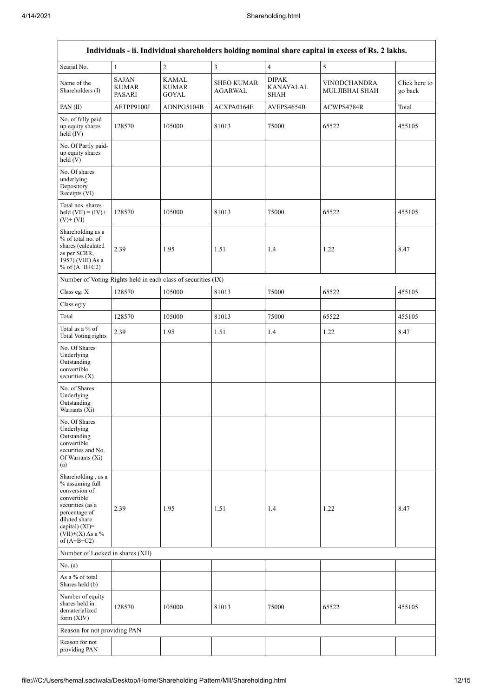|                                                                                                                                                                                         | Individuals - ii. Individual shareholders holding nominal share capital in excess of Rs. 2 lakhs. |                                |                                     |                                          |                                       |                          |  |  |  |  |  |  |  |
|-----------------------------------------------------------------------------------------------------------------------------------------------------------------------------------------|---------------------------------------------------------------------------------------------------|--------------------------------|-------------------------------------|------------------------------------------|---------------------------------------|--------------------------|--|--|--|--|--|--|--|
| Searial No.                                                                                                                                                                             | $\mathbf{1}$                                                                                      | $\overline{c}$                 | $\overline{3}$                      | $\overline{4}$                           | $\sqrt{5}$                            |                          |  |  |  |  |  |  |  |
| Name of the<br>Shareholders (I)                                                                                                                                                         | <b>SAJAN</b><br>KUMAR<br>PASARI                                                                   | KAMAL<br>KUMAR<br><b>GOYAL</b> | <b>SHEO KUMAR</b><br><b>AGARWAL</b> | <b>DIPAK</b><br>KANAYALAL<br><b>SHAH</b> | <b>VINODCHANDRA</b><br>MULJIBHAI SHAH | Click here to<br>go back |  |  |  |  |  |  |  |
| PAN(II)                                                                                                                                                                                 | AFTPP9100J                                                                                        | ADNPG5104B                     | ACXPA0164E                          | AVEPS4654B                               | ACWPS4784R                            | Total                    |  |  |  |  |  |  |  |
| No. of fully paid<br>up equity shares<br>held $(IV)$                                                                                                                                    | 128570                                                                                            | 105000                         | 81013                               | 75000                                    | 65522                                 | 455105                   |  |  |  |  |  |  |  |
| No. Of Partly paid-<br>up equity shares<br>held(V)                                                                                                                                      |                                                                                                   |                                |                                     |                                          |                                       |                          |  |  |  |  |  |  |  |
| No. Of shares<br>underlying<br>Depository<br>Receipts (VI)                                                                                                                              |                                                                                                   |                                |                                     |                                          |                                       |                          |  |  |  |  |  |  |  |
| Total nos. shares<br>held $(VII) = (IV) +$<br>$(V)$ + $(VI)$                                                                                                                            | 128570                                                                                            | 105000                         | 81013                               | 75000                                    | 65522                                 | 455105                   |  |  |  |  |  |  |  |
| Shareholding as a<br>% of total no. of<br>shares (calculated<br>as per SCRR,<br>1957) (VIII) As a<br>% of $(A+B+C2)$                                                                    | 2.39                                                                                              | 1.95                           | 1.51                                | 1.4                                      | 1.22                                  | 8.47                     |  |  |  |  |  |  |  |
| Number of Voting Rights held in each class of securities (IX)                                                                                                                           |                                                                                                   |                                |                                     |                                          |                                       |                          |  |  |  |  |  |  |  |
| Class eg: X                                                                                                                                                                             | 128570                                                                                            | 105000                         | 81013                               | 75000                                    | 65522                                 | 455105                   |  |  |  |  |  |  |  |
| Class eg:y                                                                                                                                                                              |                                                                                                   |                                |                                     |                                          |                                       |                          |  |  |  |  |  |  |  |
| Total                                                                                                                                                                                   | 128570                                                                                            | 105000                         | 81013                               | 75000                                    | 65522                                 | 455105                   |  |  |  |  |  |  |  |
| Total as a % of<br>Total Voting rights                                                                                                                                                  | 2.39                                                                                              | 1.95                           | 1.51                                | 1.4                                      | 1.22                                  | 8.47                     |  |  |  |  |  |  |  |
| No. Of Shares<br>Underlying<br>Outstanding<br>convertible<br>securities $(X)$                                                                                                           |                                                                                                   |                                |                                     |                                          |                                       |                          |  |  |  |  |  |  |  |
| No. of Shares<br>Underlying<br>Outstanding<br>Warrants (Xi)                                                                                                                             |                                                                                                   |                                |                                     |                                          |                                       |                          |  |  |  |  |  |  |  |
| No. Of Shares<br>Underlying<br>Outstanding<br>convertible<br>securities and No.<br>Of Warrants (Xi)<br>(a)                                                                              |                                                                                                   |                                |                                     |                                          |                                       |                          |  |  |  |  |  |  |  |
| Shareholding, as a<br>% assuming full<br>conversion of<br>convertible<br>securities (as a<br>percentage of<br>diluted share<br>capital) $(XI)$ =<br>$(VII)+(X)$ As a %<br>of $(A+B+C2)$ | 2.39                                                                                              | 1.95                           | 1.51                                | 1.4                                      | 1.22                                  | 8.47                     |  |  |  |  |  |  |  |
| Number of Locked in shares (XII)                                                                                                                                                        |                                                                                                   |                                |                                     |                                          |                                       |                          |  |  |  |  |  |  |  |
| No. (a)                                                                                                                                                                                 |                                                                                                   |                                |                                     |                                          |                                       |                          |  |  |  |  |  |  |  |
| As a % of total<br>Shares held (b)                                                                                                                                                      |                                                                                                   |                                |                                     |                                          |                                       |                          |  |  |  |  |  |  |  |
| Number of equity<br>shares held in<br>dematerialized<br>form $(XIV)$                                                                                                                    | 128570                                                                                            | 105000                         | 81013                               | 75000                                    | 65522                                 | 455105                   |  |  |  |  |  |  |  |
| Reason for not providing PAN                                                                                                                                                            |                                                                                                   |                                |                                     |                                          |                                       |                          |  |  |  |  |  |  |  |
| Reason for not<br>providing PAN                                                                                                                                                         |                                                                                                   |                                |                                     |                                          |                                       |                          |  |  |  |  |  |  |  |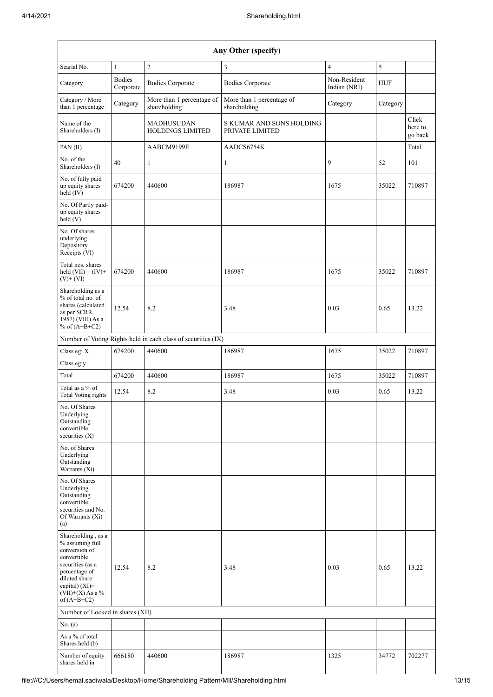| Any Other (specify)                                                                                                                                                                |                            |                                              |                                             |                              |            |                             |  |  |  |  |
|------------------------------------------------------------------------------------------------------------------------------------------------------------------------------------|----------------------------|----------------------------------------------|---------------------------------------------|------------------------------|------------|-----------------------------|--|--|--|--|
| Searial No.                                                                                                                                                                        | $\mathbf{1}$               | $\overline{2}$                               | 3                                           | $\overline{4}$               | 5          |                             |  |  |  |  |
| Category                                                                                                                                                                           | <b>Bodies</b><br>Corporate | <b>Bodies Corporate</b>                      | <b>Bodies Corporate</b>                     | Non-Resident<br>Indian (NRI) | <b>HUF</b> |                             |  |  |  |  |
| Category / More<br>than 1 percentage                                                                                                                                               | Category                   | More than 1 percentage of<br>shareholding    | More than 1 percentage of<br>shareholding   | Category                     | Category   |                             |  |  |  |  |
| Name of the<br>Shareholders (I)                                                                                                                                                    |                            | <b>MADHUSUDAN</b><br><b>HOLDINGS LIMITED</b> | S KUMAR AND SONS HOLDING<br>PRIVATE LIMITED |                              |            | Click<br>here to<br>go back |  |  |  |  |
| PAN(II)                                                                                                                                                                            |                            | AABCM9199E                                   | AADCS6754K                                  |                              |            | Total                       |  |  |  |  |
| No. of the<br>Shareholders (I)                                                                                                                                                     | 40                         | 1                                            | 1                                           | 9                            | 52         | 101                         |  |  |  |  |
| No. of fully paid<br>up equity shares<br>held (IV)                                                                                                                                 | 674200                     | 440600                                       | 186987                                      | 1675                         | 35022      | 710897                      |  |  |  |  |
| No. Of Partly paid-<br>up equity shares<br>held (V)                                                                                                                                |                            |                                              |                                             |                              |            |                             |  |  |  |  |
| No. Of shares<br>underlying<br>Depository<br>Receipts (VI)                                                                                                                         |                            |                                              |                                             |                              |            |                             |  |  |  |  |
| Total nos. shares<br>held $(VII) = (IV) +$<br>$(V)$ + $(VI)$                                                                                                                       | 674200                     | 440600                                       | 186987                                      | 1675                         | 35022      | 710897                      |  |  |  |  |
| Shareholding as a<br>% of total no. of<br>shares (calculated<br>as per SCRR,<br>1957) (VIII) As a<br>% of $(A+B+C2)$                                                               | 12.54                      | 8.2                                          | 3.48                                        | 0.03                         | 0.65       | 13.22                       |  |  |  |  |
| Number of Voting Rights held in each class of securities (IX)                                                                                                                      |                            |                                              |                                             |                              |            |                             |  |  |  |  |
| Class eg: X                                                                                                                                                                        | 674200                     | 440600                                       | 186987                                      | 1675                         | 35022      | 710897                      |  |  |  |  |
| Class eg:y                                                                                                                                                                         |                            |                                              |                                             |                              |            |                             |  |  |  |  |
| Total                                                                                                                                                                              | 674200                     | 440600                                       | 186987                                      | 1675                         | 35022      | 710897                      |  |  |  |  |
| Total as a % of<br><b>Total Voting rights</b>                                                                                                                                      | 12.54                      | 8.2                                          | 3.48                                        | 0.03                         | 0.65       | 13.22                       |  |  |  |  |
| No. Of Shares<br>Underlying<br>Outstanding<br>convertible<br>securities $(X)$                                                                                                      |                            |                                              |                                             |                              |            |                             |  |  |  |  |
| No. of Shares<br>Underlying<br>Outstanding<br>Warrants (Xi)                                                                                                                        |                            |                                              |                                             |                              |            |                             |  |  |  |  |
| No. Of Shares<br>Underlying<br>Outstanding<br>convertible<br>securities and No.<br>Of Warrants (Xi)<br>(a)                                                                         |                            |                                              |                                             |                              |            |                             |  |  |  |  |
| Shareholding, as a<br>% assuming full<br>conversion of<br>convertible<br>securities (as a<br>percentage of<br>diluted share<br>capital) (XI)=<br>(VII)+(X) As a %<br>of $(A+B+C2)$ | 12.54                      | 8.2                                          | 3.48                                        | 0.03                         | 0.65       | 13.22                       |  |  |  |  |
| Number of Locked in shares (XII)                                                                                                                                                   |                            |                                              |                                             |                              |            |                             |  |  |  |  |
| No. (a)                                                                                                                                                                            |                            |                                              |                                             |                              |            |                             |  |  |  |  |
| As a % of total<br>Shares held (b)                                                                                                                                                 |                            |                                              |                                             |                              |            |                             |  |  |  |  |
| Number of equity<br>shares held in                                                                                                                                                 | 666180                     | 440600                                       | 186987                                      | 1325                         | 34772      | 702277                      |  |  |  |  |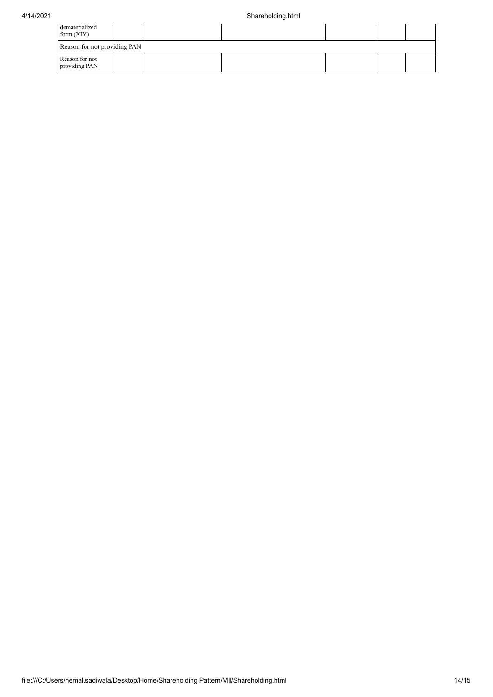| dematerialized<br>form $(XIV)$  |  |  |  |  |  |  |  |  |  |  |
|---------------------------------|--|--|--|--|--|--|--|--|--|--|
| Reason for not providing PAN    |  |  |  |  |  |  |  |  |  |  |
| Reason for not<br>providing PAN |  |  |  |  |  |  |  |  |  |  |